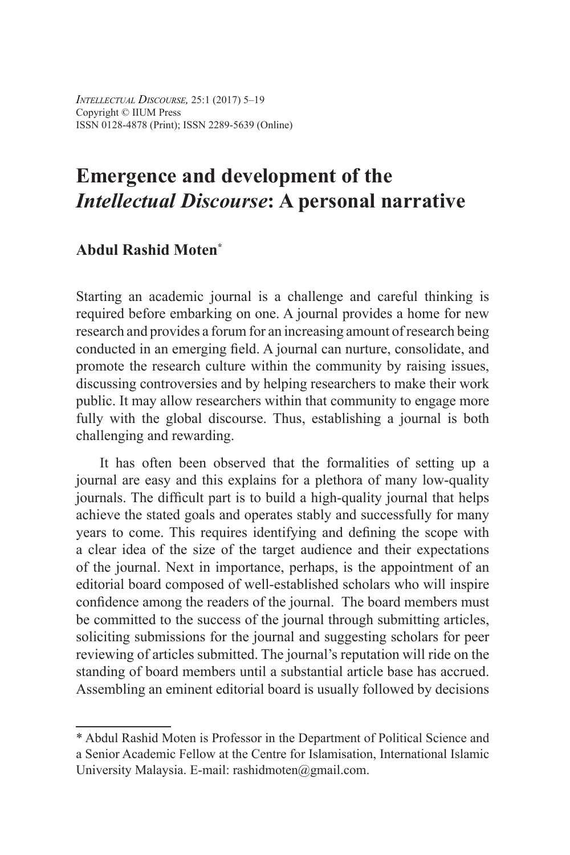*Intellectual Discourse,* 25:1 (2017) 5–19 Copyright © IIUM Press ISSN 0128-4878 (Print); ISSN 2289-5639 (Online)

# **Emergence and development of the**  *Intellectual Discourse***: A personal narrative**

## **Abdul Rashid Moten\***

Starting an academic journal is a challenge and careful thinking is required before embarking on one. A journal provides a home for new research and provides a forum for an increasing amount of research being conducted in an emerging field. A journal can nurture, consolidate, and promote the research culture within the community by raising issues, discussing controversies and by helping researchers to make their work public. It may allow researchers within that community to engage more fully with the global discourse. Thus, establishing a journal is both challenging and rewarding.

It has often been observed that the formalities of setting up a journal are easy and this explains for a plethora of many low-quality journals. The difficult part is to build a high-quality journal that helps achieve the stated goals and operates stably and successfully for many years to come. This requires identifying and defining the scope with a clear idea of the size of the target audience and their expectations of the journal. Next in importance, perhaps, is the appointment of an editorial board composed of well-established scholars who will inspire confidence among the readers of the journal. The board members must be committed to the success of the journal through submitting articles, soliciting submissions for the journal and suggesting scholars for peer reviewing of articles submitted. The journal's reputation will ride on the standing of board members until a substantial article base has accrued. Assembling an eminent editorial board is usually followed by decisions

<sup>\*</sup> Abdul Rashid Moten is Professor in the Department of Political Science and a Senior Academic Fellow at the Centre for Islamisation, International Islamic University Malaysia. E-mail: rashidmoten@gmail.com.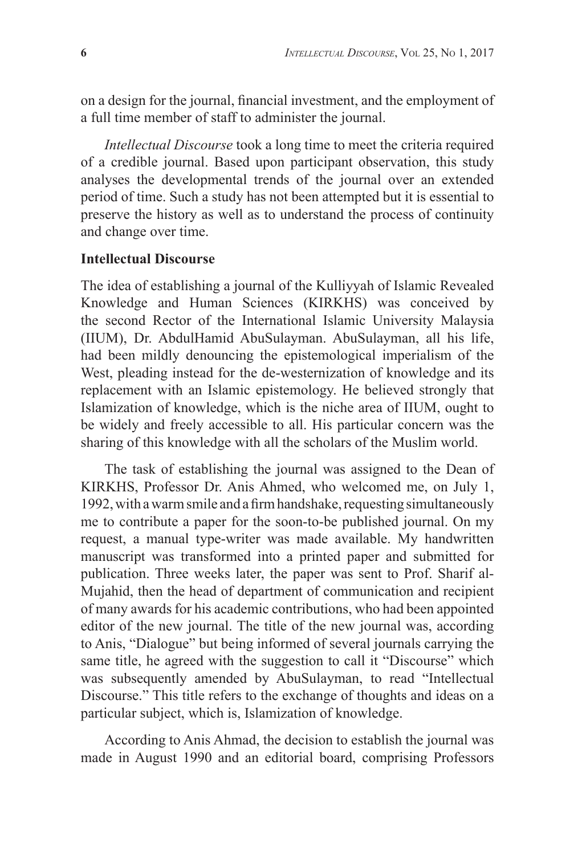on a design for the journal, financial investment, and the employment of a full time member of staff to administer the journal.

*Intellectual Discourse* took a long time to meet the criteria required of a credible journal. Based upon participant observation, this study analyses the developmental trends of the journal over an extended period of time. Such a study has not been attempted but it is essential to preserve the history as well as to understand the process of continuity and change over time.

#### **Intellectual Discourse**

The idea of establishing a journal of the Kulliyyah of Islamic Revealed Knowledge and Human Sciences (KIRKHS) was conceived by the second Rector of the International Islamic University Malaysia (IIUM), Dr. AbdulHamid AbuSulayman. AbuSulayman, all his life, had been mildly denouncing the epistemological imperialism of the West, pleading instead for the de-westernization of knowledge and its replacement with an Islamic epistemology. He believed strongly that Islamization of knowledge, which is the niche area of IIUM, ought to be widely and freely accessible to all. His particular concern was the sharing of this knowledge with all the scholars of the Muslim world.

The task of establishing the journal was assigned to the Dean of KIRKHS, Professor Dr. Anis Ahmed, who welcomed me, on July 1, 1992, with a warm smile and a firm handshake, requesting simultaneously me to contribute a paper for the soon-to-be published journal. On my request, a manual type-writer was made available. My handwritten manuscript was transformed into a printed paper and submitted for publication. Three weeks later, the paper was sent to Prof. Sharif al-Mujahid, then the head of department of communication and recipient of many awards for his academic contributions, who had been appointed editor of the new journal. The title of the new journal was, according to Anis, "Dialogue" but being informed of several journals carrying the same title, he agreed with the suggestion to call it "Discourse" which was subsequently amended by AbuSulayman, to read "Intellectual Discourse." This title refers to the exchange of thoughts and ideas on a particular subject, which is, Islamization of knowledge.

According to Anis Ahmad, the decision to establish the journal was made in August 1990 and an editorial board, comprising Professors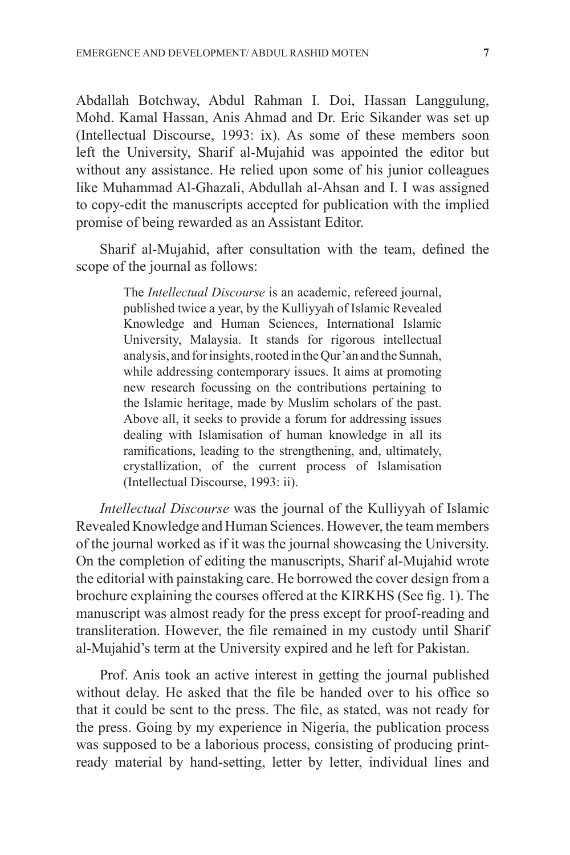Abdallah Botchway, Abdul Rahman I. Doi, Hassan Langgulung, Mohd. Kamal Hassan, Anis Ahmad and Dr. Eric Sikander was set up (Intellectual Discourse, 1993: ix). As some of these members soon left the University, Sharif al-Mujahid was appointed the editor but without any assistance. He relied upon some of his junior colleagues like Muhammad Al-Ghazali, Abdullah al-Ahsan and I. I was assigned to copy-edit the manuscripts accepted for publication with the implied promise of being rewarded as an Assistant Editor.

Sharif al-Mujahid, after consultation with the team, defined the scope of the journal as follows:

> The *Intellectual Discourse* is an academic, refereed journal, published twice a year, by the Kulliyyah of Islamic Revealed Knowledge and Human Sciences, International Islamic University, Malaysia. It stands for rigorous intellectual analysis, and for insights, rooted in the Qur'an and the Sunnah, while addressing contemporary issues. It aims at promoting new research focussing on the contributions pertaining to the Islamic heritage, made by Muslim scholars of the past. Above all, it seeks to provide a forum for addressing issues dealing with Islamisation of human knowledge in all its ramifications, leading to the strengthening, and, ultimately, crystallization, of the current process of Islamisation (Intellectual Discourse, 1993: ii).

*Intellectual Discourse* was the journal of the Kulliyyah of Islamic Revealed Knowledge and Human Sciences. However, the team members of the journal worked as if it was the journal showcasing the University. On the completion of editing the manuscripts, Sharif al-Mujahid wrote the editorial with painstaking care. He borrowed the cover design from a brochure explaining the courses offered at the KIRKHS (See fig. 1). The manuscript was almost ready for the press except for proof-reading and transliteration. However, the file remained in my custody until Sharif al-Mujahid's term at the University expired and he left for Pakistan.

Prof. Anis took an active interest in getting the journal published without delay. He asked that the file be handed over to his office so that it could be sent to the press. The file, as stated, was not ready for the press. Going by my experience in Nigeria, the publication process was supposed to be a laborious process, consisting of producing printready material by hand-setting, letter by letter, individual lines and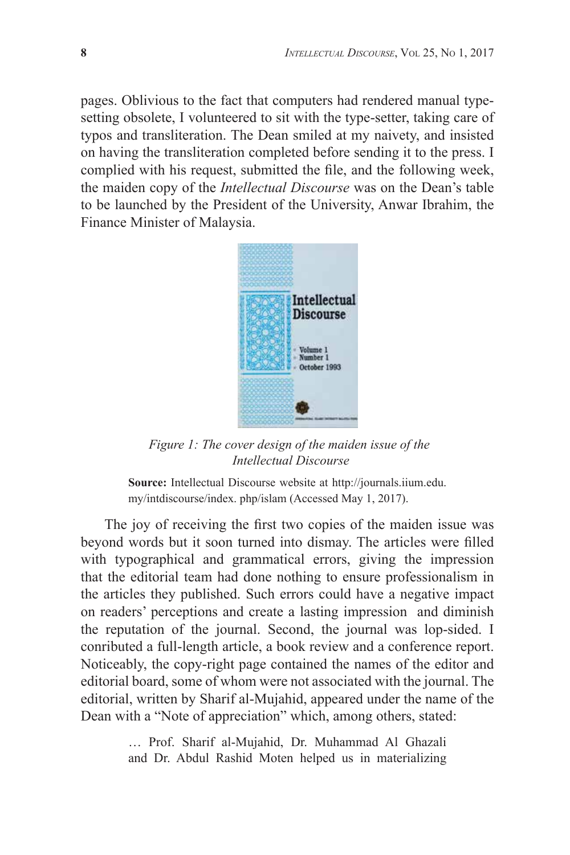pages. Oblivious to the fact that computers had rendered manual typesetting obsolete, I volunteered to sit with the type-setter, taking care of typos and transliteration. The Dean smiled at my naivety, and insisted on having the transliteration completed before sending it to the press. I complied with his request, submitted the file, and the following week, the maiden copy of the *Intellectual Discourse* was on the Dean's table to be launched by the President of the University, Anwar Ibrahim, the Finance Minister of Malaysia.



*Figure 1: The cover design of the maiden issue of the Intellectual Discourse*

**Source:** Intellectual Discourse website at http://journals.iium.edu. my/intdiscourse/index. php/islam (Accessed May 1, 2017).

The joy of receiving the first two copies of the maiden issue was beyond words but it soon turned into dismay. The articles were filled with typographical and grammatical errors, giving the impression that the editorial team had done nothing to ensure professionalism in the articles they published. Such errors could have a negative impact on readers' perceptions and create a lasting impression and diminish the reputation of the journal. Second, the journal was lop-sided. I conributed a full-length article, a book review and a conference report. Noticeably, the copy-right page contained the names of the editor and editorial board, some of whom were not associated with the journal. The editorial, written by Sharif al-Mujahid, appeared under the name of the Dean with a "Note of appreciation" which, among others, stated:

> … Prof. Sharif al-Mujahid, Dr. Muhammad Al Ghazali and Dr. Abdul Rashid Moten helped us in materializing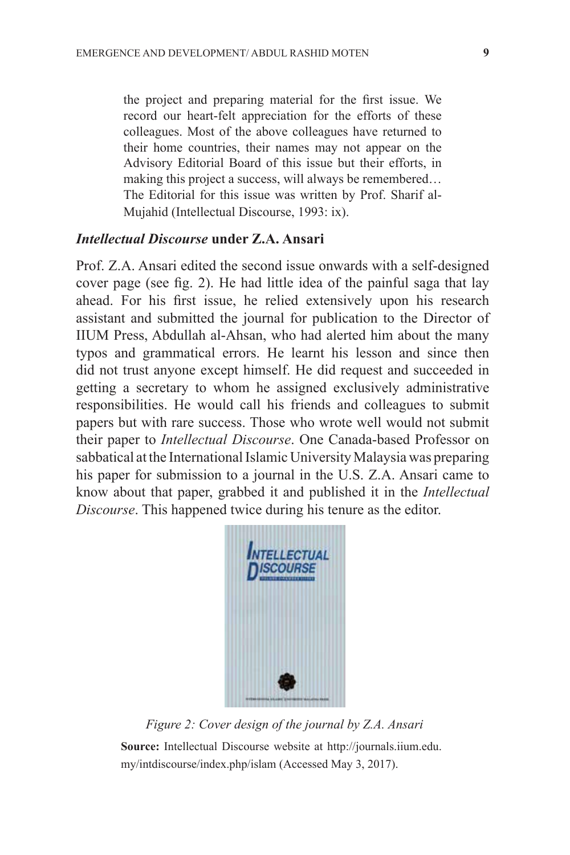the project and preparing material for the first issue. We record our heart-felt appreciation for the efforts of these colleagues. Most of the above colleagues have returned to their home countries, their names may not appear on the Advisory Editorial Board of this issue but their efforts, in making this project a success, will always be remembered… The Editorial for this issue was written by Prof. Sharif al-Mujahid (Intellectual Discourse, 1993: ix).

#### *Intellectual Discourse* **under Z.A. Ansari**

Prof. Z.A. Ansari edited the second issue onwards with a self-designed cover page (see fig. 2). He had little idea of the painful saga that lay ahead. For his first issue, he relied extensively upon his research assistant and submitted the journal for publication to the Director of IIUM Press, Abdullah al-Ahsan, who had alerted him about the many typos and grammatical errors. He learnt his lesson and since then did not trust anyone except himself. He did request and succeeded in getting a secretary to whom he assigned exclusively administrative responsibilities. He would call his friends and colleagues to submit papers but with rare success. Those who wrote well would not submit their paper to *Intellectual Discourse*. One Canada-based Professor on sabbatical at the International Islamic University Malaysia was preparing his paper for submission to a journal in the U.S. Z.A. Ansari came to know about that paper, grabbed it and published it in the *Intellectual Discourse*. This happened twice during his tenure as the editor.



*Figure 2: Cover design of the journal by Z.A. Ansari* **Source:** Intellectual Discourse website at http://journals.iium.edu.

my/intdiscourse/index.php/islam (Accessed May 3, 2017).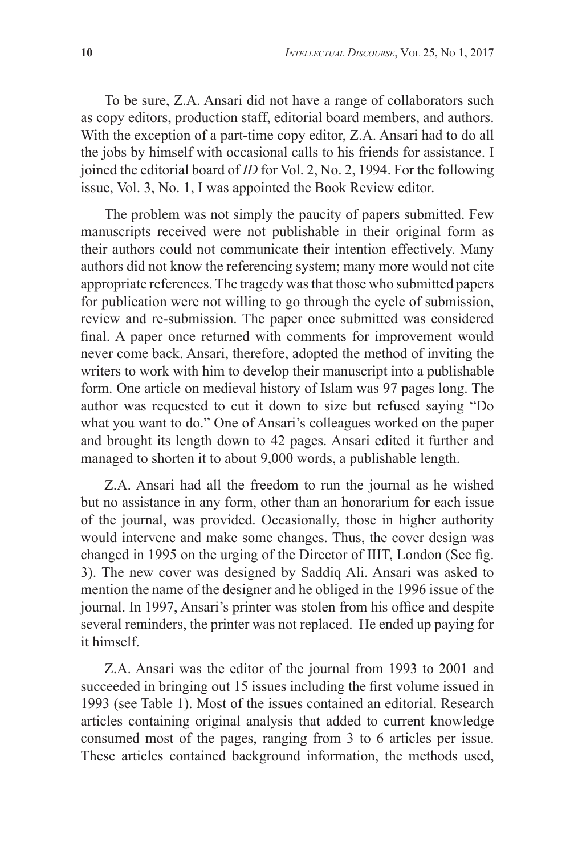To be sure, Z.A. Ansari did not have a range of collaborators such as copy editors, production staff, editorial board members, and authors. With the exception of a part-time copy editor, Z.A. Ansari had to do all the jobs by himself with occasional calls to his friends for assistance. I joined the editorial board of *ID* for Vol. 2, No. 2, 1994. For the following issue, Vol. 3, No. 1, I was appointed the Book Review editor.

The problem was not simply the paucity of papers submitted. Few manuscripts received were not publishable in their original form as their authors could not communicate their intention effectively. Many authors did not know the referencing system; many more would not cite appropriate references. The tragedy was that those who submitted papers for publication were not willing to go through the cycle of submission, review and re-submission. The paper once submitted was considered final. A paper once returned with comments for improvement would never come back. Ansari, therefore, adopted the method of inviting the writers to work with him to develop their manuscript into a publishable form. One article on medieval history of Islam was 97 pages long. The author was requested to cut it down to size but refused saying "Do what you want to do." One of Ansari's colleagues worked on the paper and brought its length down to 42 pages. Ansari edited it further and managed to shorten it to about 9,000 words, a publishable length.

Z.A. Ansari had all the freedom to run the journal as he wished but no assistance in any form, other than an honorarium for each issue of the journal, was provided. Occasionally, those in higher authority would intervene and make some changes. Thus, the cover design was changed in 1995 on the urging of the Director of IIIT, London (See fig. 3). The new cover was designed by Saddiq Ali. Ansari was asked to mention the name of the designer and he obliged in the 1996 issue of the journal. In 1997, Ansari's printer was stolen from his office and despite several reminders, the printer was not replaced. He ended up paying for it himself.

Z.A. Ansari was the editor of the journal from 1993 to 2001 and succeeded in bringing out 15 issues including the first volume issued in 1993 (see Table 1). Most of the issues contained an editorial. Research articles containing original analysis that added to current knowledge consumed most of the pages, ranging from 3 to 6 articles per issue. These articles contained background information, the methods used,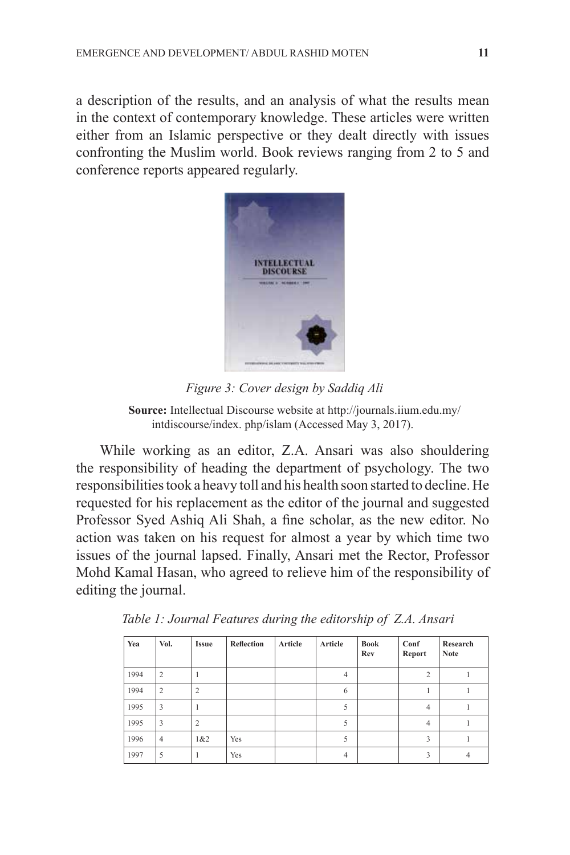a description of the results, and an analysis of what the results mean in the context of contemporary knowledge. These articles were written either from an Islamic perspective or they dealt directly with issues confronting the Muslim world. Book reviews ranging from 2 to 5 and conference reports appeared regularly.



*Figure 3: Cover design by Saddiq Ali*

**Source:** Intellectual Discourse website at http://journals.iium.edu.my/ intdiscourse/index. php/islam (Accessed May 3, 2017).

While working as an editor, Z.A. Ansari was also shouldering the responsibility of heading the department of psychology. The two responsibilities took a heavy toll and his health soon started to decline. He requested for his replacement as the editor of the journal and suggested Professor Syed Ashiq Ali Shah, a fine scholar, as the new editor. No action was taken on his request for almost a year by which time two issues of the journal lapsed. Finally, Ansari met the Rector, Professor Mohd Kamal Hasan, who agreed to relieve him of the responsibility of editing the journal.

| Yea  | Vol.                    | <b>Issue</b>   | Reflection | Article | Article        | Book<br>Rev | Conf<br>Report | Research<br><b>Note</b> |
|------|-------------------------|----------------|------------|---------|----------------|-------------|----------------|-------------------------|
| 1994 | $\overline{2}$          |                |            |         | 4              |             | $\overline{2}$ |                         |
| 1994 | $\overline{2}$          | $\overline{c}$ |            |         | 6              |             |                |                         |
| 1995 | $\overline{\mathbf{3}}$ |                |            |         | 5              |             | $\overline{4}$ |                         |
| 1995 | 3                       | $\overline{2}$ |            |         | 5              |             | $\overline{4}$ |                         |
| 1996 | $\overline{4}$          | 1&2            | Yes        |         | 5              |             | 3              |                         |
| 1997 | 5                       |                | Yes        |         | $\overline{4}$ |             | 3              |                         |

 *Table 1: Journal Features during the editorship of Z.A. Ansari*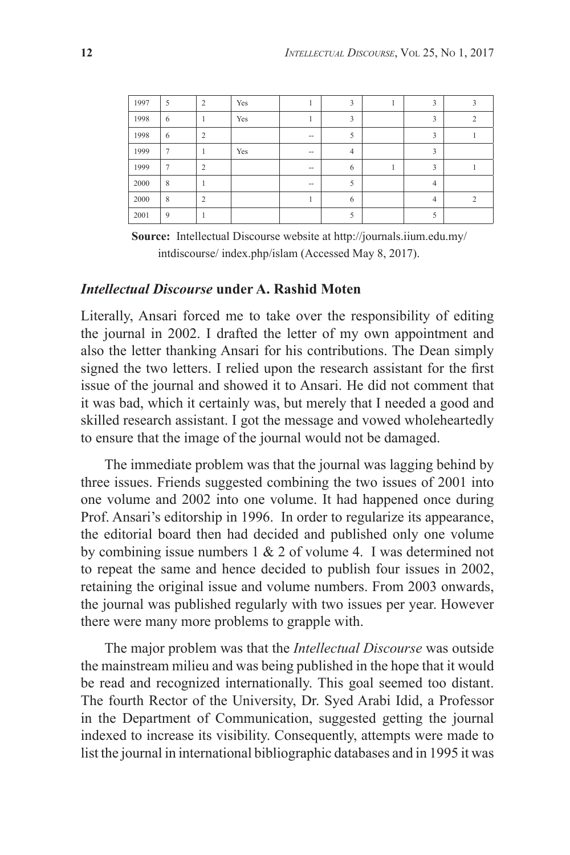| 1997 | 5              | 2              | Yes |                   | 3              | 3              |  |
|------|----------------|----------------|-----|-------------------|----------------|----------------|--|
| 1998 | 6              |                | Yes |                   | 3              | 3              |  |
| 1998 | 6              | $\overline{2}$ |     | $\hspace{0.05cm}$ | 5              | 3              |  |
| 1999 | 7              |                | Yes | $- -$             | $\overline{4}$ | 3              |  |
| 1999 | $\overline{7}$ | $\overline{2}$ |     | $\hspace{0.05cm}$ | 6              | 3              |  |
| 2000 | 8              |                |     | $\hspace{0.05cm}$ | 5              | $\overline{4}$ |  |
| 2000 | 8              | $\overline{c}$ |     |                   | 6              | $\overline{4}$ |  |
| 2001 | 9              |                |     |                   | 5              |                |  |

**Source:** Intellectual Discourse website at http://journals.iium.edu.my/ intdiscourse/ index.php/islam (Accessed May 8, 2017).

#### *Intellectual Discourse* **under A. Rashid Moten**

Literally, Ansari forced me to take over the responsibility of editing the journal in 2002. I drafted the letter of my own appointment and also the letter thanking Ansari for his contributions. The Dean simply signed the two letters. I relied upon the research assistant for the first issue of the journal and showed it to Ansari. He did not comment that it was bad, which it certainly was, but merely that I needed a good and skilled research assistant. I got the message and vowed wholeheartedly to ensure that the image of the journal would not be damaged.

The immediate problem was that the journal was lagging behind by three issues. Friends suggested combining the two issues of 2001 into one volume and 2002 into one volume. It had happened once during Prof. Ansari's editorship in 1996. In order to regularize its appearance, the editorial board then had decided and published only one volume by combining issue numbers 1 & 2 of volume 4. I was determined not to repeat the same and hence decided to publish four issues in 2002, retaining the original issue and volume numbers. From 2003 onwards, the journal was published regularly with two issues per year. However there were many more problems to grapple with.

The major problem was that the *Intellectual Discourse* was outside the mainstream milieu and was being published in the hope that it would be read and recognized internationally. This goal seemed too distant. The fourth Rector of the University, Dr. Syed Arabi Idid, a Professor in the Department of Communication, suggested getting the journal indexed to increase its visibility. Consequently, attempts were made to list the journal in international bibliographic databases and in 1995 it was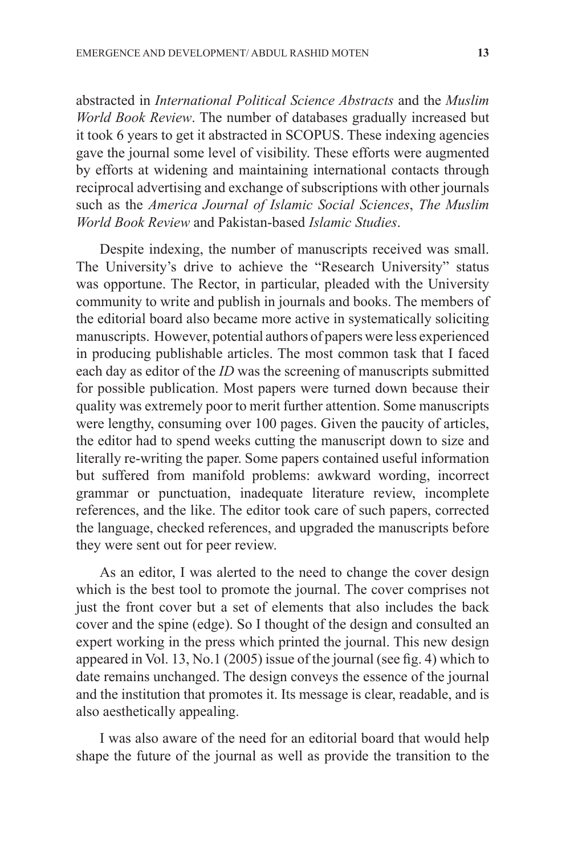abstracted in *International Political Science Abstracts* and the *Muslim World Book Review*. The number of databases gradually increased but it took 6 years to get it abstracted in SCOPUS. These indexing agencies gave the journal some level of visibility. These efforts were augmented by efforts at widening and maintaining international contacts through reciprocal advertising and exchange of subscriptions with other journals such as the *America Journal of Islamic Social Sciences*, *The Muslim World Book Review* and Pakistan-based *Islamic Studies*.

Despite indexing, the number of manuscripts received was small. The University's drive to achieve the "Research University" status was opportune. The Rector, in particular, pleaded with the University community to write and publish in journals and books. The members of the editorial board also became more active in systematically soliciting manuscripts. However, potential authors of papers were less experienced in producing publishable articles. The most common task that I faced each day as editor of the *ID* was the screening of manuscripts submitted for possible publication. Most papers were turned down because their quality was extremely poor to merit further attention. Some manuscripts were lengthy, consuming over 100 pages. Given the paucity of articles, the editor had to spend weeks cutting the manuscript down to size and literally re-writing the paper. Some papers contained useful information but suffered from manifold problems: awkward wording, incorrect grammar or punctuation, inadequate literature review, incomplete references, and the like. The editor took care of such papers, corrected the language, checked references, and upgraded the manuscripts before they were sent out for peer review.

As an editor, I was alerted to the need to change the cover design which is the best tool to promote the journal. The cover comprises not just the front cover but a set of elements that also includes the back cover and the spine (edge). So I thought of the design and consulted an expert working in the press which printed the journal. This new design appeared in Vol. 13, No.1 (2005) issue of the journal (see fig. 4) which to date remains unchanged. The design conveys the essence of the journal and the institution that promotes it. Its message is clear, readable, and is also aesthetically appealing.

I was also aware of the need for an editorial board that would help shape the future of the journal as well as provide the transition to the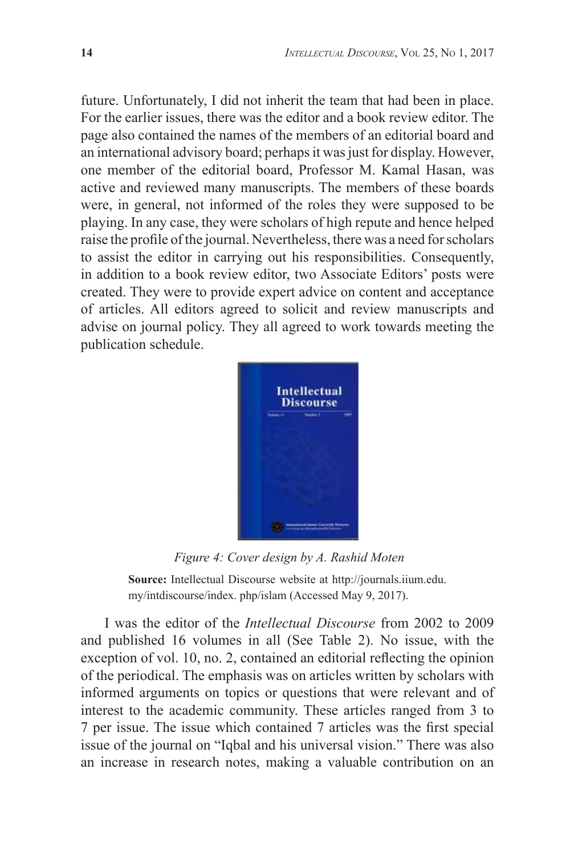future. Unfortunately, I did not inherit the team that had been in place. For the earlier issues, there was the editor and a book review editor. The page also contained the names of the members of an editorial board and an international advisory board; perhaps it was just for display. However, one member of the editorial board, Professor M. Kamal Hasan, was active and reviewed many manuscripts. The members of these boards were, in general, not informed of the roles they were supposed to be playing. In any case, they were scholars of high repute and hence helped raise the profile of the journal. Nevertheless, there was a need for scholars to assist the editor in carrying out his responsibilities. Consequently, in addition to a book review editor, two Associate Editors' posts were created. They were to provide expert advice on content and acceptance of articles. All editors agreed to solicit and review manuscripts and advise on journal policy. They all agreed to work towards meeting the publication schedule.



*Figure 4: Cover design by A. Rashid Moten*

**Source:** Intellectual Discourse website at http://journals.iium.edu. my/intdiscourse/index. php/islam (Accessed May 9, 2017).

I was the editor of the *Intellectual Discourse* from 2002 to 2009 and published 16 volumes in all (See Table 2). No issue, with the exception of vol. 10, no. 2, contained an editorial reflecting the opinion of the periodical. The emphasis was on articles written by scholars with informed arguments on topics or questions that were relevant and of interest to the academic community. These articles ranged from 3 to 7 per issue. The issue which contained 7 articles was the first special issue of the journal on "Iqbal and his universal vision." There was also an increase in research notes, making a valuable contribution on an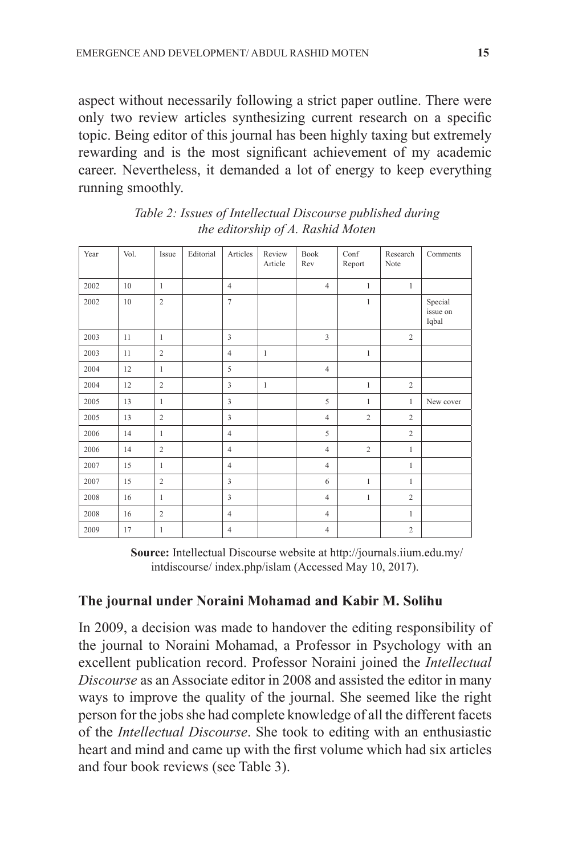aspect without necessarily following a strict paper outline. There were only two review articles synthesizing current research on a specific topic. Being editor of this journal has been highly taxing but extremely rewarding and is the most significant achievement of my academic career. Nevertheless, it demanded a lot of energy to keep everything running smoothly.

| Year | Vol. | Issue          | Editorial | Articles                | Review<br>Article | <b>Book</b><br>Rev | Conf<br>Report | Research<br>Note | Comments                     |
|------|------|----------------|-----------|-------------------------|-------------------|--------------------|----------------|------------------|------------------------------|
| 2002 | 10   | $\mathbf{1}$   |           | $\overline{4}$          |                   | $\overline{4}$     | $\mathbf{1}$   | $\mathbf{1}$     |                              |
| 2002 | 10   | $\overline{2}$ |           | $\overline{7}$          |                   |                    | $\mathbf{1}$   |                  | Special<br>issue on<br>Iqbal |
| 2003 | 11   | $\mathbf{1}$   |           | $\overline{\mathbf{3}}$ |                   | $\overline{3}$     |                | $\overline{c}$   |                              |
| 2003 | 11   | $\overline{2}$ |           | $\overline{4}$          | $\mathbf{1}$      |                    | $\mathbf{1}$   |                  |                              |
| 2004 | 12   | $\mathbf{1}$   |           | 5                       |                   | $\overline{4}$     |                |                  |                              |
| 2004 | 12   | $\sqrt{2}$     |           | $\overline{\mathbf{3}}$ | $\mathbf{1}$      |                    | $\mathbf{1}$   | $\overline{2}$   |                              |
| 2005 | 13   | $\mathbf{1}$   |           | $\overline{\mathbf{3}}$ |                   | 5                  | $\mathbf{1}$   | $\mathbf{1}$     | New cover                    |
| 2005 | 13   | $\overline{c}$ |           | $\overline{\mathbf{3}}$ |                   | $\overline{4}$     | $\overline{c}$ | $\overline{c}$   |                              |
| 2006 | 14   | $\mathbf{1}$   |           | $\overline{4}$          |                   | 5                  |                | $\overline{c}$   |                              |
| 2006 | 14   | $\overline{c}$ |           | $\overline{4}$          |                   | $\overline{4}$     | $\overline{c}$ | $\mathbf{1}$     |                              |
| 2007 | 15   | $\mathbf{1}$   |           | $\overline{4}$          |                   | $\overline{4}$     |                | $\mathbf{1}$     |                              |
| 2007 | 15   | $\sqrt{2}$     |           | $\overline{\mathbf{3}}$ |                   | 6                  | $\mathbf{1}$   | $\mathbf{1}$     |                              |
| 2008 | 16   | $\mathbf{1}$   |           | $\overline{\mathbf{3}}$ |                   | $\overline{4}$     | $\mathbf{1}$   | $\overline{2}$   |                              |
| 2008 | 16   | $\sqrt{2}$     |           | $\overline{4}$          |                   | $\overline{4}$     |                | $\mathbf{1}$     |                              |
| 2009 | 17   | $\mathbf{1}$   |           | $\overline{4}$          |                   | $\overline{4}$     |                | $\overline{c}$   |                              |

*Table 2: Issues of Intellectual Discourse published during the editorship of A. Rashid Moten*

**Source:** Intellectual Discourse website at http://journals.iium.edu.my/ intdiscourse/ index.php/islam (Accessed May 10, 2017).

#### **The journal under Noraini Mohamad and Kabir M. Solihu**

In 2009, a decision was made to handover the editing responsibility of the journal to Noraini Mohamad, a Professor in Psychology with an excellent publication record. Professor Noraini joined the *Intellectual Discourse* as an Associate editor in 2008 and assisted the editor in many ways to improve the quality of the journal. She seemed like the right person for the jobs she had complete knowledge of all the different facets of the *Intellectual Discourse*. She took to editing with an enthusiastic heart and mind and came up with the first volume which had six articles and four book reviews (see Table 3).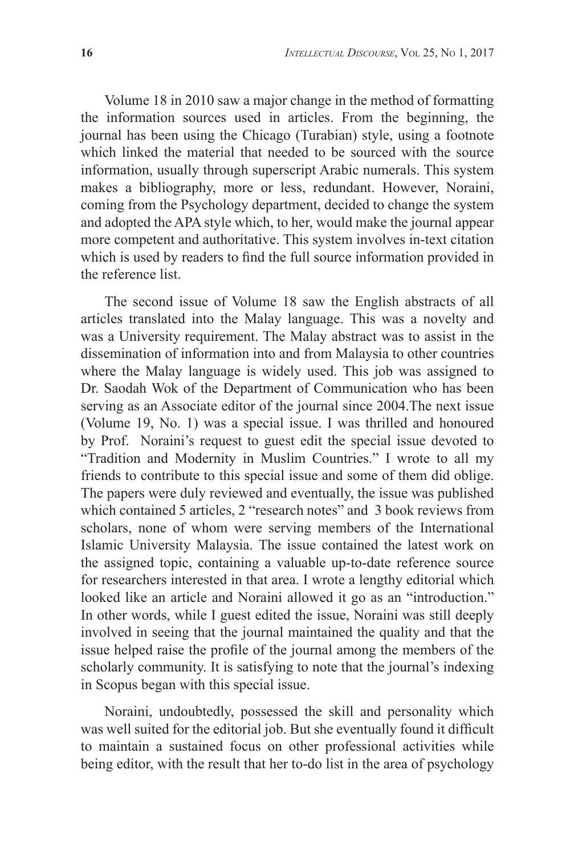Volume 18 in 2010 saw a major change in the method of formatting the information sources used in articles. From the beginning, the journal has been using the Chicago (Turabian) style, using a footnote which linked the material that needed to be sourced with the source information, usually through superscript Arabic numerals. This system makes a bibliography, more or less, redundant. However, Noraini, coming from the Psychology department, decided to change the system and adopted the APA style which, to her, would make the journal appear more competent and authoritative. This system involves in-text citation which is used by readers to find the full source information provided in the reference list.

The second issue of Volume 18 saw the English abstracts of all articles translated into the Malay language. This was a novelty and was a University requirement. The Malay abstract was to assist in the dissemination of information into and from Malaysia to other countries where the Malay language is widely used. This job was assigned to Dr. Saodah Wok of the Department of Communication who has been serving as an Associate editor of the journal since 2004.The next issue (Volume 19, No. 1) was a special issue. I was thrilled and honoured by Prof. Noraini's request to guest edit the special issue devoted to "Tradition and Modernity in Muslim Countries." I wrote to all my friends to contribute to this special issue and some of them did oblige. The papers were duly reviewed and eventually, the issue was published which contained 5 articles, 2 "research notes" and 3 book reviews from scholars, none of whom were serving members of the International Islamic University Malaysia. The issue contained the latest work on the assigned topic, containing a valuable up-to-date reference source for researchers interested in that area. I wrote a lengthy editorial which looked like an article and Noraini allowed it go as an "introduction." In other words, while I guest edited the issue, Noraini was still deeply involved in seeing that the journal maintained the quality and that the issue helped raise the profile of the journal among the members of the scholarly community. It is satisfying to note that the journal's indexing in Scopus began with this special issue.

Noraini, undoubtedly, possessed the skill and personality which was well suited for the editorial job. But she eventually found it difficult to maintain a sustained focus on other professional activities while being editor, with the result that her to-do list in the area of psychology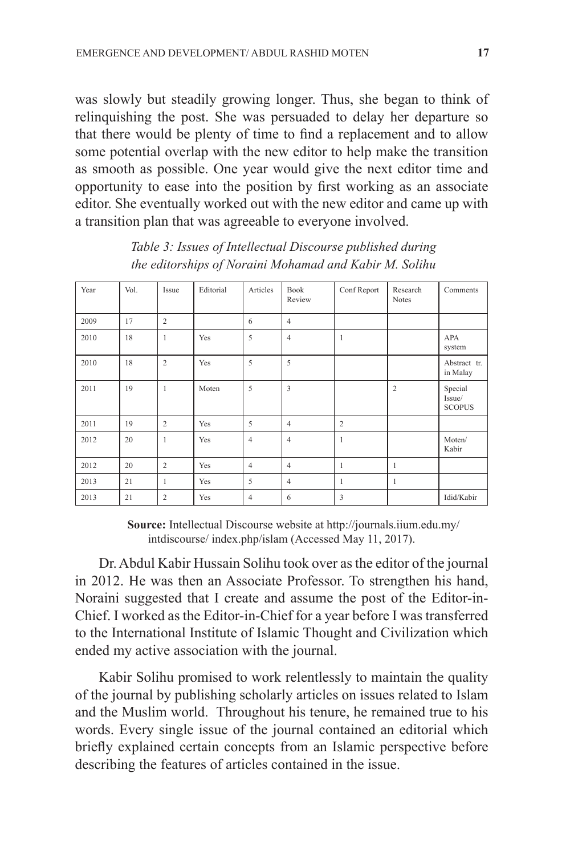was slowly but steadily growing longer. Thus, she began to think of relinquishing the post. She was persuaded to delay her departure so that there would be plenty of time to find a replacement and to allow some potential overlap with the new editor to help make the transition as smooth as possible. One year would give the next editor time and opportunity to ease into the position by first working as an associate editor. She eventually worked out with the new editor and came up with a transition plan that was agreeable to everyone involved.

| Year | Vol. | Issue          | Editorial | Articles       | Book<br>Review | Conf Report    | Research<br><b>Notes</b> | Comments                           |
|------|------|----------------|-----------|----------------|----------------|----------------|--------------------------|------------------------------------|
| 2009 | 17   | $\overline{c}$ |           | 6              | $\overline{4}$ |                |                          |                                    |
| 2010 | 18   | $\mathbf{1}$   | Yes       | 5              | $\overline{4}$ | $\mathbf{1}$   |                          | APA<br>system                      |
| 2010 | 18   | $\overline{2}$ | Yes       | 5              | 5              |                |                          | Abstract tr.<br>in Malay           |
| 2011 | 19   | 1              | Moten     | 5              | $\overline{3}$ |                | $\overline{c}$           | Special<br>Issue/<br><b>SCOPUS</b> |
| 2011 | 19   | $\overline{c}$ | Yes       | 5              | $\overline{4}$ | $\overline{2}$ |                          |                                    |
| 2012 | 20   | $\mathbf{1}$   | Yes       | $\overline{4}$ | $\overline{4}$ | $\mathbf{1}$   |                          | Moten/<br>Kabir                    |
| 2012 | 20   | $\overline{c}$ | Yes       | $\overline{4}$ | $\overline{4}$ | 1              | $\mathbf{1}$             |                                    |
| 2013 | 21   | $\mathbf{1}$   | Yes       | 5              | $\overline{4}$ | 1              | 1                        |                                    |
| 2013 | 21   | $\overline{c}$ | Yes       | $\overline{4}$ | 6              | 3              |                          | Idid/Kabir                         |

*Table 3: Issues of Intellectual Discourse published during the editorships of Noraini Mohamad and Kabir M. Solihu*

**Source:** Intellectual Discourse website at http://journals.iium.edu.my/ intdiscourse/ index.php/islam (Accessed May 11, 2017).

Dr. Abdul Kabir Hussain Solihu took over as the editor of the journal in 2012. He was then an Associate Professor. To strengthen his hand, Noraini suggested that I create and assume the post of the Editor-in-Chief. I worked as the Editor-in-Chief for a year before I was transferred to the International Institute of Islamic Thought and Civilization which ended my active association with the journal.

Kabir Solihu promised to work relentlessly to maintain the quality of the journal by publishing scholarly articles on issues related to Islam and the Muslim world. Throughout his tenure, he remained true to his words. Every single issue of the journal contained an editorial which briefly explained certain concepts from an Islamic perspective before describing the features of articles contained in the issue.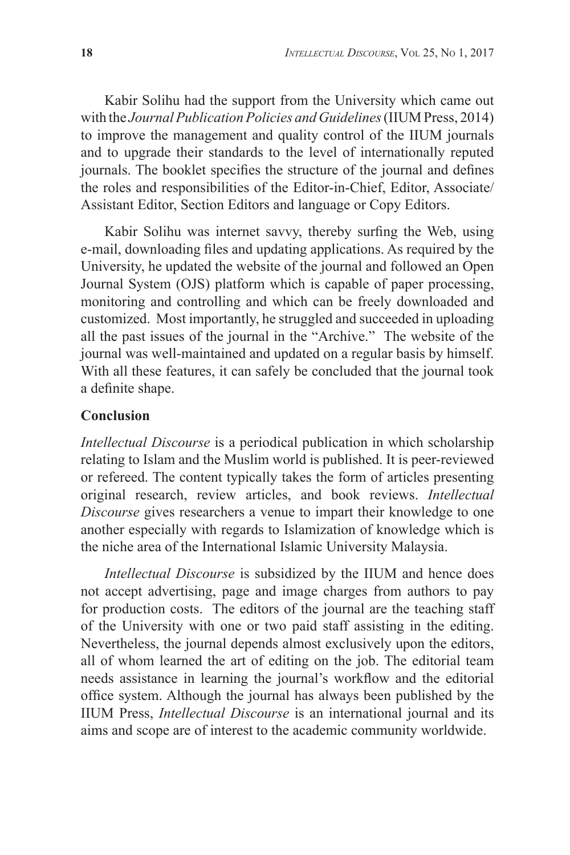Kabir Solihu had the support from the University which came out with the *Journal Publication Policies and Guidelines* (IIUM Press, 2014) to improve the management and quality control of the IIUM journals and to upgrade their standards to the level of internationally reputed journals. The booklet specifies the structure of the journal and defines the roles and responsibilities of the Editor-in-Chief, Editor, Associate/ Assistant Editor, Section Editors and language or Copy Editors.

Kabir Solihu was internet savvy, thereby surfing the Web, using e-mail, downloading files and updating applications. As required by the University, he updated the website of the journal and followed an Open Journal System (OJS) platform which is capable of paper processing, monitoring and controlling and which can be freely downloaded and customized. Most importantly, he struggled and succeeded in uploading all the past issues of the journal in the "Archive." The website of the journal was well-maintained and updated on a regular basis by himself. With all these features, it can safely be concluded that the journal took a definite shape.

### **Conclusion**

*Intellectual Discourse* is a periodical publication in which scholarship relating to Islam and the Muslim world is published. It is peer-reviewed or refereed. The content typically takes the form of articles presenting original research, review articles, and book reviews. *Intellectual Discourse* gives researchers a venue to impart their knowledge to one another especially with regards to Islamization of knowledge which is the niche area of the International Islamic University Malaysia.

*Intellectual Discourse* is subsidized by the IIUM and hence does not accept advertising, page and image charges from authors to pay for production costs. The editors of the journal are the teaching staff of the University with one or two paid staff assisting in the editing. Nevertheless, the journal depends almost exclusively upon the editors, all of whom learned the art of editing on the job. The editorial team needs assistance in learning the journal's workflow and the editorial office system. Although the journal has always been published by the IIUM Press, *Intellectual Discourse* is an international journal and its aims and scope are of interest to the academic community worldwide.